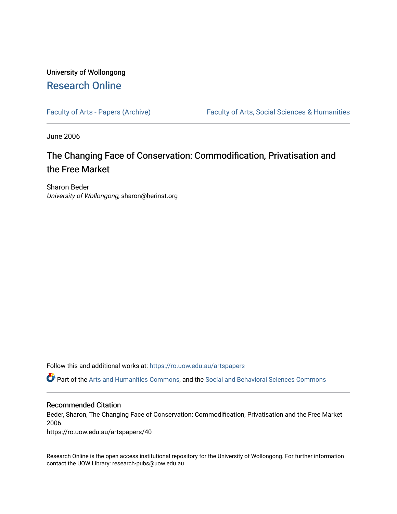## University of Wollongong [Research Online](https://ro.uow.edu.au/)

[Faculty of Arts - Papers \(Archive\)](https://ro.uow.edu.au/artspapers) Faculty of Arts, Social Sciences & Humanities

June 2006

# The Changing Face of Conservation: Commodification, Privatisation and the Free Market

Sharon Beder University of Wollongong, sharon@herinst.org

Follow this and additional works at: [https://ro.uow.edu.au/artspapers](https://ro.uow.edu.au/artspapers?utm_source=ro.uow.edu.au%2Fartspapers%2F40&utm_medium=PDF&utm_campaign=PDFCoverPages) 

Part of the [Arts and Humanities Commons,](http://network.bepress.com/hgg/discipline/438?utm_source=ro.uow.edu.au%2Fartspapers%2F40&utm_medium=PDF&utm_campaign=PDFCoverPages) and the [Social and Behavioral Sciences Commons](http://network.bepress.com/hgg/discipline/316?utm_source=ro.uow.edu.au%2Fartspapers%2F40&utm_medium=PDF&utm_campaign=PDFCoverPages)

#### Recommended Citation

Beder, Sharon, The Changing Face of Conservation: Commodification, Privatisation and the Free Market 2006.

https://ro.uow.edu.au/artspapers/40

Research Online is the open access institutional repository for the University of Wollongong. For further information contact the UOW Library: research-pubs@uow.edu.au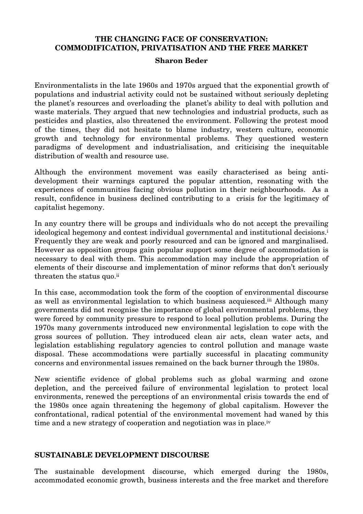## **THE CHANGING FACE OF CONSERVATION: COMMODIFICATION, PRIVATISATION AND THE FREE MARKET**

#### **Sharon Beder**

Environmentalists in the late 1960s and 1970s argued that the exponential growth of populations and industrial activity could not be sustained without seriously depleting the planet's resources and overloading the planet's ability to deal with pollution and waste materials. They argued that new technologies and industrial products, such as pesticides and plastics, also threatened the environment. Following the protest mood of the times, they did not hesitate to blame industry, western culture, economic growth and technology for environmental problems. They questioned western paradigms of development and industrialisation, and criticising the inequitable distribution of wealth and resource use.

Although the environment movement was easily characterised as being antidevelopment their warnings captured the popular attention, resonating with the experiences of communities facing obvious pollution in their neighbourhoods. As a result, confidence in business declined contributing to a crisis for the legitimacy of capitalist hegemony.

In any country there will be groups and individuals who do not accept the prevailing ideological hegemony and contest individual governmental and institutional decisions.i Frequently they are weak and poorly resourced and can be ignored and marginalised. However as opposition groups gain popular support some degree of accommodation is necessary to deal with them. This accommodation may include the appropriation of elements of their discourse and implementation of minor reforms that don't seriously threaten the status quo.ii

In this case, accommodation took the form of the cooption of environmental discourse as well as environmental legislation to which business acquiesced.iii Although many governments did not recognise the importance of global environmental problems, they were forced by community pressure to respond to local pollution problems. During the 1970s many governments introduced new environmental legislation to cope with the gross sources of pollution. They introduced clean air acts, clean water acts, and legislation establishing regulatory agencies to control pollution and manage waste disposal. These accommodations were partially successful in placating community concerns and environmental issues remained on the back burner through the 1980s.

New scientific evidence of global problems such as global warming and ozone depletion, and the perceived failure of environmental legislation to protect local environments, renewed the perceptions of an environmental crisis towards the end of the 1980s once again threatening the hegemony of global capitalism. However the confrontational, radical potential of the environmental movement had waned by this time and a new strategy of cooperation and negotiation was in place.<sup>iv</sup>

#### **SUSTAINABLE DEVELOPMENT DISCOURSE**

The sustainable development discourse, which emerged during the 1980s, accommodated economic growth, business interests and the free market and therefore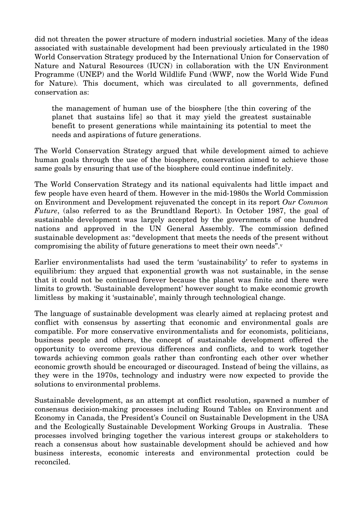did not threaten the power structure of modern industrial societies. Many of the ideas associated with sustainable development had been previously articulated in the 1980 World Conservation Strategy produced by the International Union for Conservation of Nature and Natural Resources (IUCN) in collaboration with the UN Environment Programme (UNEP) and the World Wildlife Fund (WWF, now the World Wide Fund for Nature). This document, which was circulated to all governments, defined conservation as:

the management of human use of the biosphere [the thin covering of the planet that sustains life] so that it may yield the greatest sustainable benefit to present generations while maintaining its potential to meet the needs and aspirations of future generations.

The World Conservation Strategy argued that while development aimed to achieve human goals through the use of the biosphere, conservation aimed to achieve those same goals by ensuring that use of the biosphere could continue indefinitely.

The World Conservation Strategy and its national equivalents had little impact and few people have even heard of them. However in the mid-1980s the World Commission on Environment and Development rejuvenated the concept in its report *Our Common Future*, (also referred to as the Brundtland Report). In October 1987, the goal of sustainable development was largely accepted by the governments of one hundred nations and approved in the UN General Assembly. The commission defined sustainable development as: "development that meets the needs of the present without compromising the ability of future generations to meet their own needs".v

Earlier environmentalists had used the term 'sustainability' to refer to systems in equilibrium: they argued that exponential growth was not sustainable, in the sense that it could not be continued forever because the planet was finite and there were limits to growth. 'Sustainable development' however sought to make economic growth limitless by making it 'sustainable', mainly through technological change.

The language of sustainable development was clearly aimed at replacing protest and conflict with consensus by asserting that economic and environmental goals are compatible. For more conservative environmentalists and for economists, politicians, business people and others, the concept of sustainable development offered the opportunity to overcome previous differences and conflicts, and to work together towards achieving common goals rather than confronting each other over whether economic growth should be encouraged or discouraged. Instead of being the villains, as they were in the 1970s, technology and industry were now expected to provide the solutions to environmental problems.

Sustainable development, as an attempt at conflict resolution, spawned a number of consensus decision-making processes including Round Tables on Environment and Economy in Canada, the President's Council on Sustainable Development in the USA and the Ecologically Sustainable Development Working Groups in Australia. These processes involved bringing together the various interest groups or stakeholders to reach a consensus about how sustainable development should be achieved and how business interests, economic interests and environmental protection could be reconciled.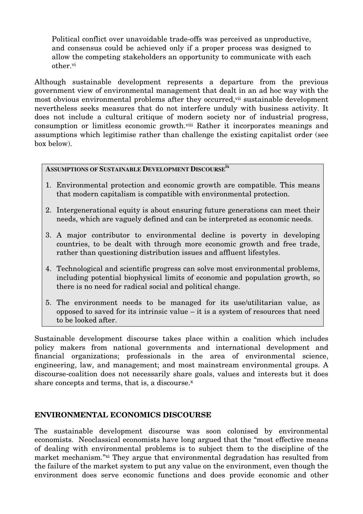Political conflict over unavoidable trade-offs was perceived as unproductive, and consensus could be achieved only if a proper process was designed to allow the competing stakeholders an opportunity to communicate with each other.vi

Although sustainable development represents a departure from the previous government view of environmental management that dealt in an ad hoc way with the most obvious environmental problems after they occurred, vii sustainable development nevertheless seeks measures that do not interfere unduly with business activity. It does not include a cultural critique of modern society nor of industrial progress, consumption or limitless economic growth.viii Rather it incorporates meanings and assumptions which legitimise rather than challenge the existing capitalist order (see box below).

## **ASSUMPTIONS OF SUSTAINABLE DEVELOPMENT DISCOURSEix**

- 1. Environmental protection and economic growth are compatible. This means that modern capitalism is compatible with environmental protection.
- 2. Intergenerational equity is about ensuring future generations can meet their needs, which are vaguely defined and can be interpreted as economic needs.
- 3. A major contributor to environmental decline is poverty in developing countries, to be dealt with through more economic growth and free trade, rather than questioning distribution issues and affluent lifestyles.
- 4. Technological and scientific progress can solve most environmental problems, including potential biophysical limits of economic and population growth, so there is no need for radical social and political change.
- 5. The environment needs to be managed for its use/utilitarian value, as opposed to saved for its intrinsic value – it is a system of resources that need to be looked after.

Sustainable development discourse takes place within a coalition which includes policy makers from national governments and international development and financial organizations; professionals in the area of environmental science, engineering, law, and management; and most mainstream environmental groups. A discourse-coalition does not necessarily share goals, values and interests but it does share concepts and terms, that is, a discourse.<sup>x</sup>

## **ENVIRONMENTAL ECONOMICS DISCOURSE**

The sustainable development discourse was soon colonised by environmental economists. Neoclassical economists have long argued that the "most effective means of dealing with environmental problems is to subject them to the discipline of the market mechanism."xi They argue that environmental degradation has resulted from the failure of the market system to put any value on the environment, even though the environment does serve economic functions and does provide economic and other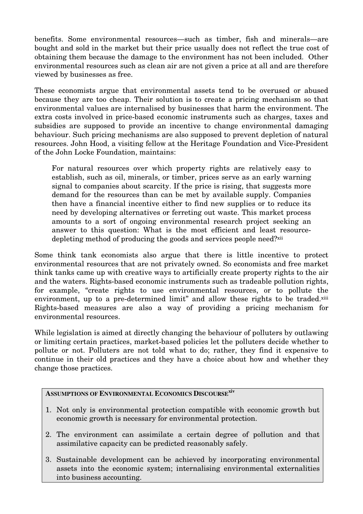benefits. Some environmental resources—such as timber, fish and minerals—are bought and sold in the market but their price usually does not reflect the true cost of obtaining them because the damage to the environment has not been included. Other environmental resources such as clean air are not given a price at all and are therefore viewed by businesses as free.

These economists argue that environmental assets tend to be overused or abused because they are too cheap. Their solution is to create a pricing mechanism so that environmental values are internalised by businesses that harm the environment. The extra costs involved in price-based economic instruments such as charges, taxes and subsidies are supposed to provide an incentive to change environmental damaging behaviour. Such pricing mechanisms are also supposed to prevent depletion of natural resources. John Hood, a visiting fellow at the Heritage Foundation and Vice-President of the John Locke Foundation, maintains:

For natural resources over which property rights are relatively easy to establish, such as oil, minerals, or timber, prices serve as an early warning signal to companies about scarcity. If the price is rising, that suggests more demand for the resources than can be met by available supply. Companies then have a financial incentive either to find new supplies or to reduce its need by developing alternatives or ferreting out waste. This market process amounts to a sort of ongoing environmental research project seeking an answer to this question: What is the most efficient and least resourcedepleting method of producing the goods and services people need?<sup>xii</sup>

Some think tank economists also argue that there is little incentive to protect environmental resources that are not privately owned. So economists and free market think tanks came up with creative ways to artificially create property rights to the air and the waters. Rights-based economic instruments such as tradeable pollution rights, for example, "create rights to use environmental resources, or to pollute the environment, up to a pre-determined limit" and allow these rights to be traded.<sup>xiii</sup> Rights-based measures are also a way of providing a pricing mechanism for environmental resources.

While legislation is aimed at directly changing the behaviour of polluters by outlawing or limiting certain practices, market-based policies let the polluters decide whether to pollute or not. Polluters are not told what to do; rather, they find it expensive to continue in their old practices and they have a choice about how and whether they change those practices.

### **ASSUMPTIONS OF ENVIRONMENTAL ECONOMICS DISCOURSExiv**

- 1. Not only is environmental protection compatible with economic growth but economic growth is necessary for environmental protection.
- 2. The environment can assimilate a certain degree of pollution and that assimilative capacity can be predicted reasonably safely.
- 3. Sustainable development can be achieved by incorporating environmental assets into the economic system; internalising environmental externalities into business accounting.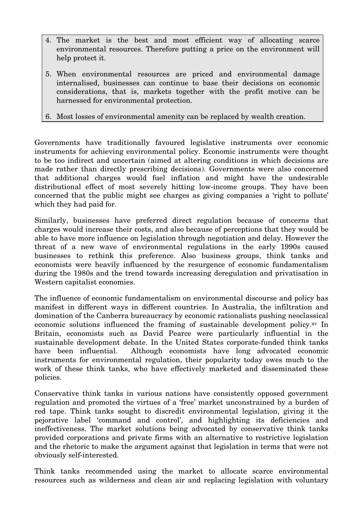- 4. The market is the best and most efficient way of allocating scarce environmental resources. Therefore putting a price on the environment will help protect it.
- 5. When environmental resources are priced and environmental damage internalised, businesses can continue to base their decisions on economic considerations, that is, markets together with the profit motive can be harnessed for environmental protection.

6. Most losses of environmental amenity can be replaced by wealth creation.

Governments have traditionally favoured legislative instruments over economic instruments for achieving environmental policy. Economic instruments were thought to be too indirect and uncertain (aimed at altering conditions in which decisions are made rather than directly prescribing decisions). Governments were also concerned that additional charges would fuel inflation and might have the undesirable distributional effect of most severely hitting low-income groups. They have been concerned that the public might see charges as giving companies a 'right to pollute' which they had paid for.

Similarly, businesses have preferred direct regulation because of concerns that charges would increase their costs, and also because of perceptions that they would be able to have more influence on legislation through negotiation and delay. However the threat of a new wave of environmental regulations in the early 1990s caused businesses to rethink this preference. Also business groups, think tanks and economists were heavily influenced by the resurgence of economic fundamentalism during the 1980s and the trend towards increasing deregulation and privatisation in Western capitalist economies.

The influence of economic fundamentalism on environmental discourse and policy has manifest in different ways in different countries. In Australia, the infiltration and domination of the Canberra bureaucracy by economic rationalists pushing neoclassical economic solutions influenced the framing of sustainable development policy.xv In Britain, economists such as David Pearce were particularly influential in the sustainable development debate. In the United States corporate-funded think tanks have been influential. Although economists have long advocated economic instruments for environmental regulation, their popularity today owes much to the work of these think tanks, who have effectively marketed and disseminated these policies.

Conservative think tanks in various nations have consistently opposed government regulation and promoted the virtues of a 'free' market unconstrained by a burden of red tape. Think tanks sought to discredit environmental legislation, giving it the pejorative label 'command and control', and highlighting its deficiencies and ineffectiveness. The market solutions being advocated by conservative think tanks provided corporations and private firms with an alternative to restrictive legislation and the rhetoric to make the argument against that legislation in terms that were not obviously self-interested.

Think tanks recommended using the market to allocate scarce environmental resources such as wilderness and clean air and replacing legislation with voluntary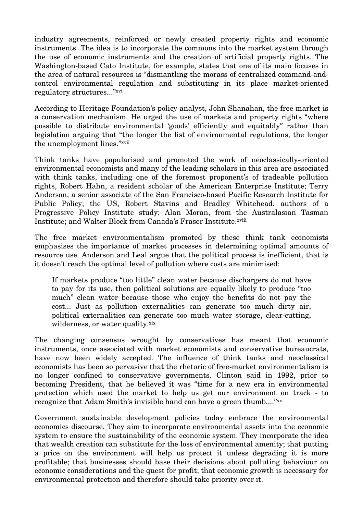industry agreements, reinforced or newly created property rights and economic instruments. The idea is to incorporate the commons into the market system through the use of economic instruments and the creation of artificial property rights. The Washington-based Cato Institute, for example, states that one of its main focuses in the area of natural resources is "dismantling the morass of centralized command-andcontrol environmental regulation and substituting in its place market-oriented regulatory structures..."xvi

According to Heritage Foundation's policy analyst, John Shanahan, the free market is a conservation mechanism. He urged the use of markets and property rights "where possible to distribute environmental 'goods' efficiently and equitably" rather than legislation arguing that "the longer the list of environmental regulations, the longer the unemployment lines."xvii

Think tanks have popularised and promoted the work of neoclassically-oriented environmental economists and many of the leading scholars in this area are associated with think tanks, including one of the foremost proponent's of tradeable pollution rights, Robert Hahn, a resident scholar of the American Enterprise Institute; Terry Anderson, a senior associate of the San Francisco-based Pacific Research Institute for Public Policy; the US, Robert Stavins and Bradley Whitehead, authors of a Progressive Policy Institute study; Alan Moran, from the Australasian Tasman Institute; and Walter Block from Canada's Fraser Institute.xviii

The free market environmentalism promoted by these think tank economists emphasises the importance of market processes in determining optimal amounts of resource use. Anderson and Leal argue that the political process is inefficient, that is it doesn't reach the optimal level of pollution where costs are minimised:

If markets produce "too little" clean water because dischargers do not have to pay for its use, then political solutions are equally likely to produce "too much" clean water because those who enjoy the benefits do not pay the cost... Just as pollution externalities can generate too much dirty air, political externalities can generate too much water storage, clear-cutting, wilderness, or water quality.xix

The changing consensus wrought by conservatives has meant that economic instruments, once associated with market economists and conservative bureaucrats, have now been widely accepted. The influence of think tanks and neoclassical economists has been so pervasive that the rhetoric of free-market environmentalism is no longer confined to conservative governments. Clinton said in 1992, prior to becoming President, that he believed it was "time for a new era in environmental protection which used the market to help us get our environment on track - to recognize that Adam Smith's invisible hand can have a green thumb...."xx

Government sustainable development policies today embrace the environmental economics discourse. They aim to incorporate environmental assets into the economic system to ensure the sustainability of the economic system. They incorporate the idea that wealth creation can substitute for the loss of environmental amenity; that putting a price on the environment will help us protect it unless degrading it is more profitable; that businesses should base their decisions about polluting behaviour on economic considerations and the quest for profit; that economic growth is necessary for environmental protection and therefore should take priority over it.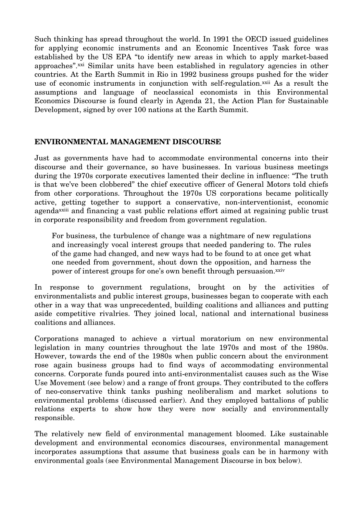Such thinking has spread throughout the world. In 1991 the OECD issued guidelines for applying economic instruments and an Economic Incentives Task force was established by the US EPA "to identify new areas in which to apply market-based approaches".xxi Similar units have been established in regulatory agencies in other countries. At the Earth Summit in Rio in 1992 business groups pushed for the wider use of economic instruments in conjunction with self-regulation.<sup>xxii</sup> As a result the assumptions and language of neoclassical economists in this Environmental Economics Discourse is found clearly in Agenda 21, the Action Plan for Sustainable Development, signed by over 100 nations at the Earth Summit.

#### **ENVIRONMENTAL MANAGEMENT DISCOURSE**

Just as governments have had to accommodate environmental concerns into their discourse and their governance, so have businesses. In various business meetings during the 1970s corporate executives lamented their decline in influence: "The truth is that we've been clobbered" the chief executive officer of General Motors told chiefs from other corporations. Throughout the 1970s US corporations became politically active, getting together to support a conservative, non-interventionist, economic agendaxxiii and financing a vast public relations effort aimed at regaining public trust in corporate responsibility and freedom from government regulation.

For business, the turbulence of change was a nightmare of new regulations and increasingly vocal interest groups that needed pandering to. The rules of the game had changed, and new ways had to be found to at once get what one needed from government, shout down the opposition, and harness the power of interest groups for one's own benefit through persuasion.<sup>xxiv</sup>

In response to government regulations, brought on by the activities of environmentalists and public interest groups, businesses began to cooperate with each other in a way that was unprecedented, building coalitions and alliances and putting aside competitive rivalries. They joined local, national and international business coalitions and alliances.

Corporations managed to achieve a virtual moratorium on new environmental legislation in many countries throughout the late 1970s and most of the 1980s. However, towards the end of the 1980s when public concern about the environment rose again business groups had to find ways of accommodating environmental concerns. Corporate funds poured into anti-environmentalist causes such as the Wise Use Movement (see below) and a range of front groups. They contributed to the coffers of neo-conservative think tanks pushing neoliberalism and market solutions to environmental problems (discussed earlier). And they employed battalions of public relations experts to show how they were now socially and environmentally responsible.

The relatively new field of environmental management bloomed. Like sustainable development and environmental economics discourses, environmental management incorporates assumptions that assume that business goals can be in harmony with environmental goals (see Environmental Management Discourse in box below).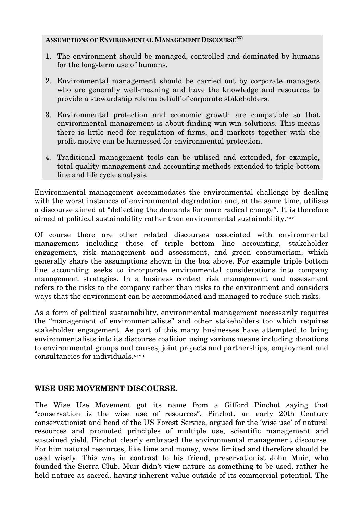## **ASSUMPTIONS OF ENVIRONMENTAL MANAGEMENT DISCOURSExxv**

- 1. The environment should be managed, controlled and dominated by humans for the long-term use of humans.
- 2. Environmental management should be carried out by corporate managers who are generally well-meaning and have the knowledge and resources to provide a stewardship role on behalf of corporate stakeholders.
- 3. Environmental protection and economic growth are compatible so that environmental management is about finding win-win solutions. This means there is little need for regulation of firms, and markets together with the profit motive can be harnessed for environmental protection.
- 4. Traditional management tools can be utilised and extended, for example, total quality management and accounting methods extended to triple bottom line and life cycle analysis.

Environmental management accommodates the environmental challenge by dealing with the worst instances of environmental degradation and, at the same time, utilises a discourse aimed at "deflecting the demands for more radical change". It is therefore aimed at political sustainability rather than environmental sustainability.<sup>xxvi</sup>

Of course there are other related discourses associated with environmental management including those of triple bottom line accounting, stakeholder engagement, risk management and assessment, and green consumerism, which generally share the assumptions shown in the box above. For example triple bottom line accounting seeks to incorporate environmental considerations into company management strategies. In a business context risk management and assessment refers to the risks to the company rather than risks to the environment and considers ways that the environment can be accommodated and managed to reduce such risks.

As a form of political sustainability, environmental management necessarily requires the "management of environmentalists" and other stakeholders too which requires stakeholder engagement. As part of this many businesses have attempted to bring environmentalists into its discourse coalition using various means including donations to environmental groups and causes, joint projects and partnerships, employment and consultancies for individuals.xxvii

## **WISE USE MOVEMENT DISCOURSE.**

The Wise Use Movement got its name from a Gifford Pinchot saying that "conservation is the wise use of resources". Pinchot, an early 20th Century conservationist and head of the US Forest Service, argued for the 'wise use' of natural resources and promoted principles of multiple use, scientific management and sustained yield. Pinchot clearly embraced the environmental management discourse. For him natural resources, like time and money, were limited and therefore should be used wisely. This was in contrast to his friend, preservationist John Muir, who founded the Sierra Club. Muir didn't view nature as something to be used, rather he held nature as sacred, having inherent value outside of its commercial potential. The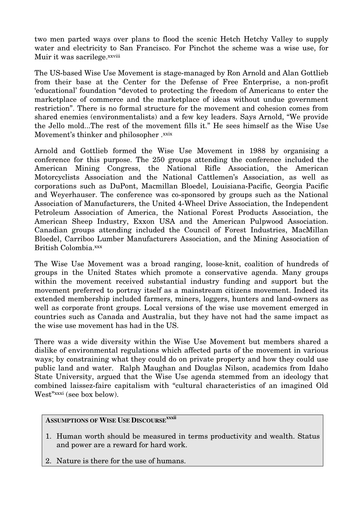two men parted ways over plans to flood the scenic Hetch Hetchy Valley to supply water and electricity to San Francisco. For Pinchot the scheme was a wise use, for Muir it was sacrilege.xxviii

The US-based Wise Use Movement is stage-managed by Ron Arnold and Alan Gottlieb from their base at the Center for the Defense of Free Enterprise, a non-profit 'educational' foundation "devoted to protecting the freedom of Americans to enter the marketplace of commerce and the marketplace of ideas without undue government restriction". There is no formal structure for the movement and cohesion comes from shared enemies (environmentalists) and a few key leaders. Says Arnold, "We provide the Jello mold...The rest of the movement fills it." He sees himself as the Wise Use Movement's thinker and philosopher .xxix

Arnold and Gottlieb formed the Wise Use Movement in 1988 by organising a conference for this purpose. The 250 groups attending the conference included the American Mining Congress, the National Rifle Association, the American Motorcyclists Association and the National Cattlemen's Association, as well as corporations such as DuPont, Macmillan Bloedel, Louisiana-Pacific, Georgia Pacific and Weyerhauser. The conference was co-sponsored by groups such as the National Association of Manufacturers, the United 4-Wheel Drive Association, the Independent Petroleum Association of America, the National Forest Products Association, the American Sheep Industry, Exxon USA and the American Pulpwood Association. Canadian groups attending included the Council of Forest Industries, MacMillan Bloedel, Carriboo Lumber Manufacturers Association, and the Mining Association of British Colombia.xxx

The Wise Use Movement was a broad ranging, loose-knit, coalition of hundreds of groups in the United States which promote a conservative agenda. Many groups within the movement received substantial industry funding and support but the movement preferred to portray itself as a mainstream citizens movement. Indeed its extended membership included farmers, miners, loggers, hunters and land-owners as well as corporate front groups. Local versions of the wise use movement emerged in countries such as Canada and Australia, but they have not had the same impact as the wise use movement has had in the US.

There was a wide diversity within the Wise Use Movement but members shared a dislike of environmental regulations which affected parts of the movement in various ways; by constraining what they could do on private property and how they could use public land and water. Ralph Maughan and Douglas Nilson, academics from Idaho State University, argued that the Wise Use agenda stemmed from an ideology that combined laissez-faire capitalism with "cultural characteristics of an imagined Old West"xxxi (see box below).

### **ASSUMPTIONS OF WISE USE DISCOURSExxxii**

- 1. Human worth should be measured in terms productivity and wealth. Status and power are a reward for hard work.
- 2. Nature is there for the use of humans.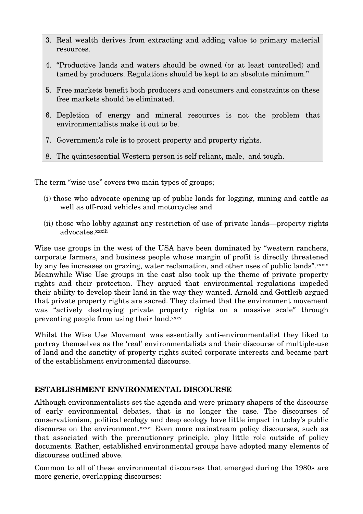- 3. Real wealth derives from extracting and adding value to primary material resources.
- 4. "Productive lands and waters should be owned (or at least controlled) and tamed by producers. Regulations should be kept to an absolute minimum."
- 5. Free markets benefit both producers and consumers and constraints on these free markets should be eliminated.
- 6. Depletion of energy and mineral resources is not the problem that environmentalists make it out to be.
- 7. Government's role is to protect property and property rights.
- 8. The quintessential Western person is self reliant, male, and tough.

The term "wise use" covers two main types of groups;

- (i) those who advocate opening up of public lands for logging, mining and cattle as well as off-road vehicles and motorcycles and
- (ii) those who lobby against any restriction of use of private lands—property rights advocates.xxxiii

Wise use groups in the west of the USA have been dominated by "western ranchers, corporate farmers, and business people whose margin of profit is directly threatened by any fee increases on grazing, water reclamation, and other uses of public lands".xxxiv Meanwhile Wise Use groups in the east also took up the theme of private property rights and their protection. They argued that environmental regulations impeded their ability to develop their land in the way they wanted. Arnold and Gottleib argued that private property rights are sacred. They claimed that the environment movement was "actively destroying private property rights on a massive scale" through preventing people from using their land.xxxv

Whilst the Wise Use Movement was essentially anti-environmentalist they liked to portray themselves as the 'real' environmentalists and their discourse of multiple-use of land and the sanctity of property rights suited corporate interests and became part of the establishment environmental discourse.

## **ESTABLISHMENT ENVIRONMENTAL DISCOURSE**

Although environmentalists set the agenda and were primary shapers of the discourse of early environmental debates, that is no longer the case. The discourses of conservationism, political ecology and deep ecology have little impact in today's public discourse on the environment.<sup>xxxvi</sup> Even more mainstream policy discourses, such as that associated with the precautionary principle, play little role outside of policy documents. Rather, established environmental groups have adopted many elements of discourses outlined above.

Common to all of these environmental discourses that emerged during the 1980s are more generic, overlapping discourses: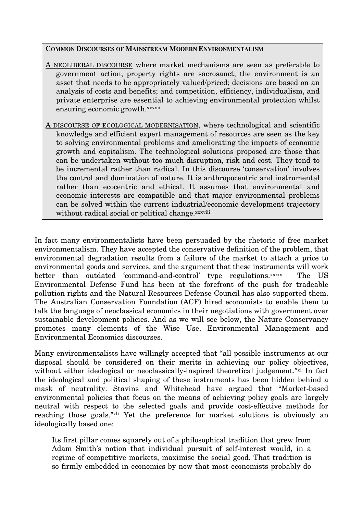#### **COMMON DISCOURSES OF MAINSTREAM MODERN ENVIRONMENTALISM**

- A NEOLIBERAL DISCOURSE where market mechanisms are seen as preferable to government action; property rights are sacrosanct; the environment is an asset that needs to be appropriately valued/priced; decisions are based on an analysis of costs and benefits; and competition, efficiency, individualism, and private enterprise are essential to achieving environmental protection whilst ensuring economic growth.xxxvii
- A DISCOURSE OF ECOLOGICAL MODERNISATION, where technological and scientific knowledge and efficient expert management of resources are seen as the key to solving environmental problems and ameliorating the impacts of economic growth and capitalism. The technological solutions proposed are those that can be undertaken without too much disruption, risk and cost. They tend to be incremental rather than radical. In this discourse 'conservation' involves the control and domination of nature. It is anthropocentric and instrumental rather than ecocentric and ethical. It assumes that environmental and economic interests are compatible and that major environmental problems can be solved within the current industrial/economic development trajectory without radical social or political change.xxxviii

In fact many environmentalists have been persuaded by the rhetoric of free market environmentalism. They have accepted the conservative definition of the problem, that environmental degradation results from a failure of the market to attach a price to environmental goods and services, and the argument that these instruments will work better than outdated 'command-and-control' type regulations.xxxix The US Environmental Defense Fund has been at the forefront of the push for tradeable pollution rights and the Natural Resources Defense Council has also supported them. The Australian Conservation Foundation (ACF) hired economists to enable them to talk the language of neoclassical economics in their negotiations with government over sustainable development policies. And as we will see below, the Nature Conservancy promotes many elements of the Wise Use, Environmental Management and Environmental Economics discourses.

Many environmentalists have willingly accepted that "all possible instruments at our disposal should be considered on their merits in achieving our policy objectives, without either ideological or neoclassically-inspired theoretical judgement."xl In fact the ideological and political shaping of these instruments has been hidden behind a mask of neutrality. Stavins and Whitehead have argued that "Market-based environmental policies that focus on the means of achieving policy goals are largely neutral with respect to the selected goals and provide cost-effective methods for reaching those goals."<sup>xli</sup> Yet the preference for market solutions is obviously an ideologically based one:

Its first pillar comes squarely out of a philosophical tradition that grew from Adam Smith's notion that individual pursuit of self-interest would, in a regime of competitive markets, maximise the social good. That tradition is so firmly embedded in economics by now that most economists probably do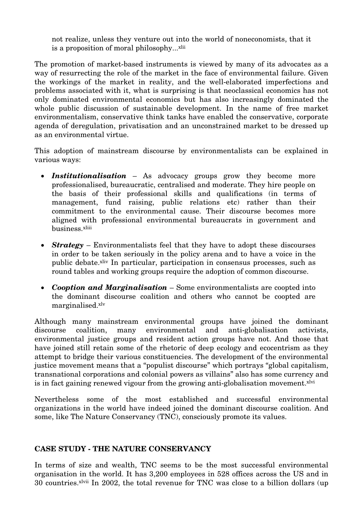not realize, unless they venture out into the world of noneconomists, that it is a proposition of moral philosophy...<sup>xlii</sup>

The promotion of market-based instruments is viewed by many of its advocates as a way of resurrecting the role of the market in the face of environmental failure. Given the workings of the market in reality, and the well-elaborated imperfections and problems associated with it, what is surprising is that neoclassical economics has not only dominated environmental economics but has also increasingly dominated the whole public discussion of sustainable development. In the name of free market environmentalism, conservative think tanks have enabled the conservative, corporate agenda of deregulation, privatisation and an unconstrained market to be dressed up as an environmental virtue.

This adoption of mainstream discourse by environmentalists can be explained in various ways:

- *Institutionalisation* As advocacy groups grow they become more professionalised, bureaucratic, centralised and moderate. They hire people on the basis of their professional skills and qualifications (in terms of management, fund raising, public relations etc) rather than their commitment to the environmental cause. Their discourse becomes more aligned with professional environmental bureaucrats in government and business.xliii
- *Strategy* Environmentalists feel that they have to adopt these discourses in order to be taken seriously in the policy arena and to have a voice in the public debate.xliv In particular, participation in consensus processes, such as round tables and working groups require the adoption of common discourse.
- *Cooption and Marginalisation* Some environmentalists are coopted into the dominant discourse coalition and others who cannot be coopted are marginalised.xlv

Although many mainstream environmental groups have joined the dominant discourse coalition, many environmental and anti-globalisation activists, environmental justice groups and resident action groups have not. And those that have joined still retain some of the rhetoric of deep ecology and ecocentrism as they attempt to bridge their various constituencies. The development of the environmental justice movement means that a "populist discourse" which portrays "global capitalism, transnational corporations and colonial powers as villains" also has some currency and is in fact gaining renewed vigour from the growing anti-globalisation movement.<sup>xlvi</sup>

Nevertheless some of the most established and successful environmental organizations in the world have indeed joined the dominant discourse coalition. And some, like The Nature Conservancy (TNC), consciously promote its values.

#### **CASE STUDY - THE NATURE CONSERVANCY**

In terms of size and wealth, TNC seems to be the most successful environmental organisation in the world. It has 3,200 employees in 528 offices across the US and in 30 countries.xlvii In 2002, the total revenue for TNC was close to a billion dollars (up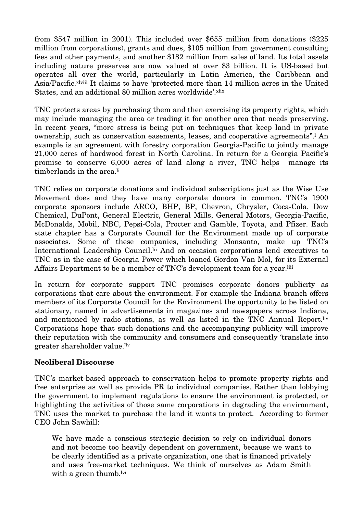from \$547 million in 2001). This included over \$655 million from donations (\$225 million from corporations), grants and dues, \$105 million from government consulting fees and other payments, and another \$182 million from sales of land. Its total assets including nature preserves are now valued at over \$3 billion. It is US-based but operates all over the world, particularly in Latin America, the Caribbean and Asia/Pacific.xlviii It claims to have 'protected more than 14 million acres in the United States, and an additional 80 million acres worldwide'.xlix

TNC protects areas by purchasing them and then exercising its property rights, which may include managing the area or trading it for another area that needs preserving. In recent years, "more stress is being put on techniques that keep land in private ownership, such as conservation easements, leases, and cooperative agreements".l An example is an agreement with forestry corporation Georgia-Pacific to jointly manage 21,000 acres of hardwood forest in North Carolina. In return for a Georgia Pacific's promise to conserve 6,000 acres of land along a river, TNC helps manage its timberlands in the area.<sup>li</sup>

TNC relies on corporate donations and individual subscriptions just as the Wise Use Movement does and they have many corporate donors in common. TNC's 1900 corporate sponsors include ARCO, BHP, BP, Chevron, Chrysler, Coca-Cola, Dow Chemical, DuPont, General Electric, General Mills, General Motors, Georgia-Pacific, McDonalds, Mobil, NBC, Pepsi-Cola, Procter and Gamble, Toyota, and Pfizer. Each state chapter has a Corporate Council for the Environment made up of corporate associates. Some of these companies, including Monsanto, make up TNC's International Leadership Council.<sup>lii</sup> And on occasion corporations lend executives to TNC as in the case of Georgia Power which loaned Gordon Van Mol, for its External Affairs Department to be a member of TNC's development team for a year. Iiii

In return for corporate support TNC promises corporate donors publicity as corporations that care about the environment. For example the Indiana branch offers members of its Corporate Council for the Environment the opportunity to be listed on stationary, named in advertisements in magazines and newspapers across Indiana, and mentioned by radio stations, as well as listed in the TNC Annual Report.liv Corporations hope that such donations and the accompanying publicity will improve their reputation with the community and consumers and consequently 'translate into greater shareholder value.' lv

#### **Neoliberal Discourse**

TNC's market-based approach to conservation helps to promote property rights and free enterprise as well as provide PR to individual companies. Rather than lobbying the government to implement regulations to ensure the environment is protected, or highlighting the activities of those same corporations in degrading the environment, TNC uses the market to purchase the land it wants to protect. According to former CEO John Sawhill:

We have made a conscious strategic decision to rely on individual donors and not become too heavily dependent on government, because we want to be clearly identified as a private organization, one that is financed privately and uses free-market techniques. We think of ourselves as Adam Smith with a green thumb.<sup>lvi</sup>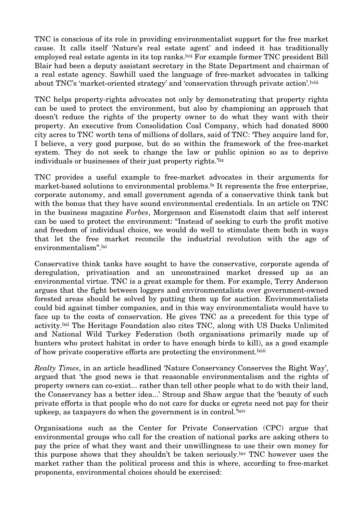TNC is conscious of its role in providing environmentalist support for the free market cause. It calls itself 'Nature's real estate agent' and indeed it has traditionally employed real estate agents in its top ranks.lvii For example former TNC president Bill Blair had been a deputy assistant secretary in the State Department and chairman of a real estate agency. Sawhill used the language of free-market advocates in talking about TNC's 'market-oriented strategy' and 'conservation through private action'.lviii

TNC helps property-rights advocates not only by demonstrating that property rights can be used to protect the environment, but also by championing an approach that doesn't reduce the rights of the property owner to do what they want with their property. An executive from Consolidation Coal Company, which had donated 8000 city acres to TNC worth tens of millions of dollars, said of TNC: 'They acquire land for, I believe, a very good purpose, but do so within the framework of the free-market system. They do not seek to change the law or public opinion so as to deprive individuals or businesses of their just property rights.' lix

TNC provides a useful example to free-market advocates in their arguments for market-based solutions to environmental problems.<sup>1x</sup> It represents the free enterprise, corporate autonomy, and small government agenda of a conservative think tank but with the bonus that they have sound environmental credentials. In an article on TNC in the business magazine *Forbes*, Morgenson and Eisenstodt claim that self interest can be used to protect the environment: "Instead of seeking to curb the profit motive and freedom of individual choice, we would do well to stimulate them both in ways that let the free market reconcile the industrial revolution with the age of environmentalism".lxi

Conservative think tanks have sought to have the conservative, corporate agenda of deregulation, privatisation and an unconstrained market dressed up as an environmental virtue. TNC is a great example for them. For example, Terry Anderson argues that the fight between loggers and environmentalists over government-owned forested areas should be solved by putting them up for auction. Environmentalists could bid against timber companies, and in this way environmentalists would have to face up to the costs of conservation. He gives TNC as a precedent for this type of activity.lxii The Heritage Foundation also cites TNC, along with US Ducks Unlimited and National Wild Turkey Federation (both organisations primarily made up of hunters who protect habitat in order to have enough birds to kill), as a good example of how private cooperative efforts are protecting the environment.<sup>lxiii</sup>

*Realty Times*, in an article headlined 'Nature Conservancy Conserves the Right Way', argued that 'the good news is that reasonable environmentalism and the rights of property owners can co-exist... rather than tell other people what to do with their land, the Conservancy has a better idea...' Stroup and Shaw argue that the 'beauty of such private efforts is that people who do not care for ducks or egrets need not pay for their upkeep, as taxpayers do when the government is in control.' $^{\mathrm{txiv}}$ 

Organisations such as the Center for Private Conservation (CPC) argue that environmental groups who call for the creation of national parks are asking others to pay the price of what they want and their unwillingness to use their own money for this purpose shows that they shouldn't be taken seriously.lxv TNC however uses the market rather than the political process and this is where, according to free-market proponents, environmental choices should be exercised: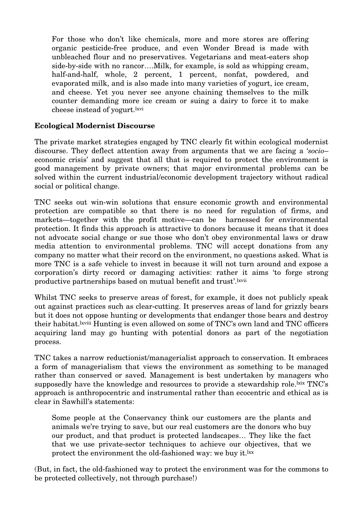For those who don't like chemicals, more and more stores are offering organic pesticide-free produce, and even Wonder Bread is made with unbleached flour and no preservatives. Vegetarians and meat-eaters shop side-by-side with no rancor….Milk, for example, is sold as whipping cream, half-and-half, whole, 2 percent, 1 percent, nonfat, powdered, and evaporated milk, and is also made into many varieties of yogurt, ice cream, and cheese. Yet you never see anyone chaining themselves to the milk counter demanding more ice cream or suing a dairy to force it to make cheese instead of yogurt. kvi

## **Ecological Modernist Discourse**

The private market strategies engaged by TNC clearly fit within ecological modernist discourse. They deflect attention away from arguments that we are facing a '*socio*– economic crisis' and suggest that all that is required to protect the environment is good management by private owners; that major environmental problems can be solved within the current industrial/economic development trajectory without radical social or political change.

TNC seeks out win-win solutions that ensure economic growth and environmental protection are compatible so that there is no need for regulation of firms, and markets—together with the profit motive—can be harnessed for environmental protection. It finds this approach is attractive to donors because it means that it does not advocate social change or sue those who don't obey environmental laws or draw media attention to environmental problems. TNC will accept donations from any company no matter what their record on the environment, no questions asked. What is more TNC is a safe vehicle to invest in because it will not turn around and expose a corporation's dirty record or damaging activities: rather it aims 'to forge strong productive partnerships based on mutual benefit and trust'.lxvii

Whilst TNC seeks to preserve areas of forest, for example, it does not publicly speak out against practices such as clear-cutting. It preserves areas of land for grizzly bears but it does not oppose hunting or developments that endanger those bears and destroy their habitat.lxviii Hunting is even allowed on some of TNC's own land and TNC officers acquiring land may go hunting with potential donors as part of the negotiation process.

TNC takes a narrow reductionist/managerialist approach to conservation. It embraces a form of managerialism that views the environment as something to be managed rather than conserved or saved. Management is best undertaken by managers who supposedly have the knowledge and resources to provide a stewardship role. Ixix TNC's approach is anthropocentric and instrumental rather than ecocentric and ethical as is clear in Sawhill's statements:

Some people at the Conservancy think our customers are the plants and animals we're trying to save, but our real customers are the donors who buy our product, and that product is protected landscapes… They like the fact that we use private-sector techniques to achieve our objectives, that we protect the environment the old-fashioned way: we buy it.<sup>lxx</sup>

(But, in fact, the old-fashioned way to protect the environment was for the commons to be protected collectively, not through purchase!)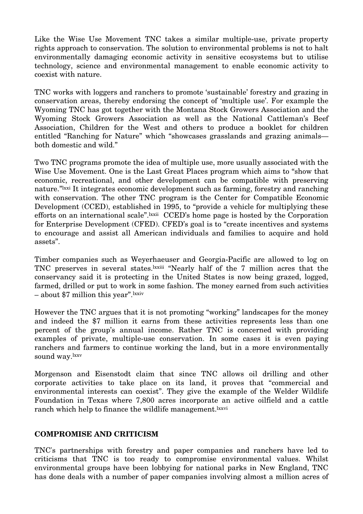Like the Wise Use Movement TNC takes a similar multiple-use, private property rights approach to conservation. The solution to environmental problems is not to halt environmentally damaging economic activity in sensitive ecosystems but to utilise technology, science and environmental management to enable economic activity to coexist with nature.

TNC works with loggers and ranchers to promote 'sustainable' forestry and grazing in conservation areas, thereby endorsing the concept of 'multiple use'. For example the Wyoming TNC has got together with the Montana Stock Growers Association and the Wyoming Stock Growers Association as well as the National Cattleman's Beef Association, Children for the West and others to produce a booklet for children entitled "Ranching for Nature" which "showcases grasslands and grazing animals both domestic and wild."

Two TNC programs promote the idea of multiple use, more usually associated with the Wise Use Movement. One is the Last Great Places program which aims to "show that economic, recreational, and other development can be compatible with preserving nature."lxxi It integrates economic development such as farming, forestry and ranching with conservation. The other TNC program is the Center for Compatible Economic Development (CCED), established in 1995, to "provide a vehicle for multiplying these efforts on an international scale".<sup>lxxii</sup> CCED's home page is hosted by the Corporation for Enterprise Development (CFED). CFED's goal is to "create incentives and systems to encourage and assist all American individuals and families to acquire and hold assets".

Timber companies such as Weyerhaeuser and Georgia-Pacific are allowed to log on TNC preserves in several states.lxxiii "Nearly half of the 7 million acres that the conservancy said it is protecting in the United States is now being grazed, logged, farmed, drilled or put to work in some fashion. The money earned from such activities – about \$7 million this year".lxxiv

However the TNC argues that it is not promoting "working" landscapes for the money and indeed the \$7 million it earns from these activities represents less than one percent of the group's annual income. Rather TNC is concerned with providing examples of private, multiple-use conservation. In some cases it is even paying ranchers and farmers to continue working the land, but in a more environmentally sound way.lxxv

Morgenson and Eisenstodt claim that since TNC allows oil drilling and other corporate activities to take place on its land, it proves that "commercial and environmental interests can coexist". They give the example of the Welder Wildlife Foundation in Texas where 7,800 acres incorporate an active oilfield and a cattle ranch which help to finance the wildlife management.<sup>lxxvi</sup>

#### **COMPROMISE AND CRITICISM**

TNC's partnerships with forestry and paper companies and ranchers have led to criticisms that TNC is too ready to compromise environmental values. Whilst environmental groups have been lobbying for national parks in New England, TNC has done deals with a number of paper companies involving almost a million acres of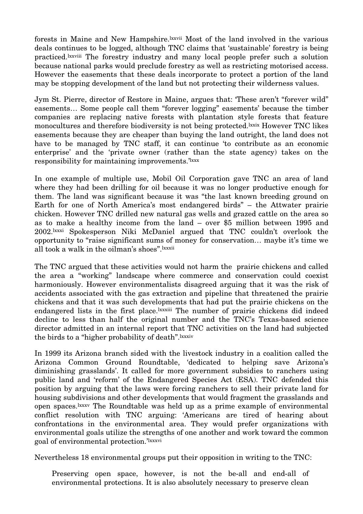forests in Maine and New Hampshire.lxxvii Most of the land involved in the various deals continues to be logged, although TNC claims that 'sustainable' forestry is being practiced.lxxviii The forestry industry and many local people prefer such a solution because national parks would preclude forestry as well as restricting motorised access. However the easements that these deals incorporate to protect a portion of the land may be stopping development of the land but not protecting their wilderness values.

Jym St. Pierre, director of Restore in Maine, argues that: 'These aren't "forever wild" easements… Some people call them "forever logging" easements' because the timber companies are replacing native forests with plantation style forests that feature monocultures and therefore biodiversity is not being protected.<sup>lxxix</sup> However TNC likes easements because they are cheaper than buying the land outright, the land does not have to be managed by TNC staff, it can continue 'to contribute as an economic enterprise' and the 'private owner (rather than the state agency) takes on the responsibility for maintaining improvements.'<sup>1xxx</sup>

In one example of multiple use, Mobil Oil Corporation gave TNC an area of land where they had been drilling for oil because it was no longer productive enough for them. The land was significant because it was "the last known breeding ground on Earth for one of North America's most endangered birds" – the Attwater prairie chicken. However TNC drilled new natural gas wells and grazed cattle on the area so as to make a healthy income from the land – over \$5 million between 1995 and 2002.lxxxi Spokesperson Niki McDaniel argued that TNC couldn't overlook the opportunity to "raise significant sums of money for conservation… maybe it's time we all took a walk in the oilman's shoes".lxxxii

The TNC argued that these activities would not harm the prairie chickens and called the area a "working" landscape where commerce and conservation could coexist harmoniously. However environmentalists disagreed arguing that it was the risk of accidents associated with the gas extraction and pipeline that threatened the prairie chickens and that it was such developments that had put the prairie chickens on the endangered lists in the first place.<sup>[xxxiii</sup> The number of prairie chickens did indeed decline to less than half the original number and the TNC's Texas-based science director admitted in an internal report that TNC activities on the land had subjected the birds to a "higher probability of death". Ixxxiv

In 1999 its Arizona branch sided with the livestock industry in a coalition called the Arizona Common Ground Roundtable, 'dedicated to helping save Arizona's diminishing grasslands'. It called for more government subsidies to ranchers using public land and 'reform' of the Endangered Species Act (ESA). TNC defended this position by arguing that the laws were forcing ranchers to sell their private land for housing subdivisions and other developments that would fragment the grasslands and open spaces.lxxxv The Roundtable was held up as a prime example of environmental conflict resolution with TNC arguing: 'Americans are tired of hearing about confrontations in the environmental area. They would prefer organizations with environmental goals utilize the strengths of one another and work toward the common goal of environmental protection.'<sup>1xxxvi</sup>

Nevertheless 18 environmental groups put their opposition in writing to the TNC:

Preserving open space, however, is not the be-all and end-all of environmental protections. It is also absolutely necessary to preserve clean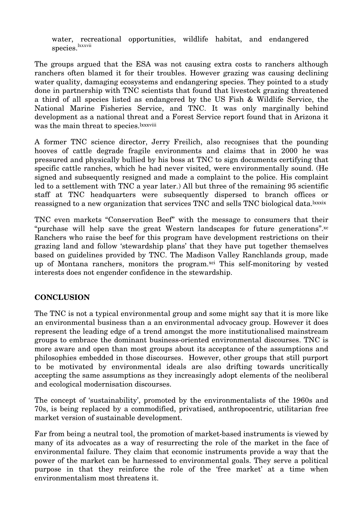water, recreational opportunities, wildlife habitat, and endangered species. lxxxvii

The groups argued that the ESA was not causing extra costs to ranchers although ranchers often blamed it for their troubles. However grazing was causing declining water quality, damaging ecosystems and endangering species. They pointed to a study done in partnership with TNC scientists that found that livestock grazing threatened a third of all species listed as endangered by the US Fish & Wildlife Service, the National Marine Fisheries Service, and TNC. It was only marginally behind development as a national threat and a Forest Service report found that in Arizona it was the main threat to species.<sup>lxxxviii</sup>

A former TNC science director, Jerry Freilich, also recognises that the pounding hooves of cattle degrade fragile environments and claims that in 2000 he was pressured and physically bullied by his boss at TNC to sign documents certifying that specific cattle ranches, which he had never visited, were environmentally sound. (He signed and subsequently resigned and made a complaint to the police. His complaint led to a settlement with TNC a year later.) All but three of the remaining 95 scientific staff at TNC headquarters were subsequently dispersed to branch offices or reassigned to a new organization that services TNC and sells TNC biological data.<sup>lxxxix</sup>

TNC even markets "Conservation Beef" with the message to consumers that their "purchase will help save the great Western landscapes for future generations".xc Ranchers who raise the beef for this program have development restrictions on their grazing land and follow 'stewardship plans' that they have put together themselves based on guidelines provided by TNC. The Madison Valley Ranchlands group, made up of Montana ranchers, monitors the program.<sup>xci</sup> This self-monitoring by vested interests does not engender confidence in the stewardship.

## **CONCLUSION**

The TNC is not a typical environmental group and some might say that it is more like an environmental business than a an environmental advocacy group. However it does represent the leading edge of a trend amongst the more institutionalised mainstream groups to embrace the dominant business-oriented environmental discourses. TNC is more aware and open than most groups about its acceptance of the assumptions and philosophies embedded in those discourses. However, other groups that still purport to be motivated by environmental ideals are also drifting towards uncritically accepting the same assumptions as they increasingly adopt elements of the neoliberal and ecological modernisation discourses.

The concept of 'sustainability', promoted by the environmentalists of the 1960s and 70s, is being replaced by a commodified, privatised, anthropocentric, utilitarian free market version of sustainable development.

Far from being a neutral tool, the promotion of market-based instruments is viewed by many of its advocates as a way of resurrecting the role of the market in the face of environmental failure. They claim that economic instruments provide a way that the power of the market can be harnessed to environmental goals. They serve a political purpose in that they reinforce the role of the 'free market' at a time when environmentalism most threatens it.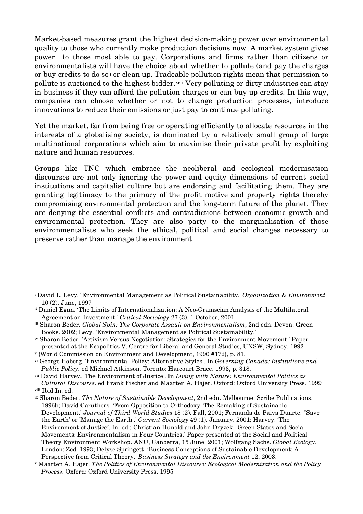Market-based measures grant the highest decision-making power over environmental quality to those who currently make production decisions now. A market system gives power to those most able to pay. Corporations and firms rather than citizens or environmentalists will have the choice about whether to pollute (and pay the charges or buy credits to do so) or clean up. Tradeable pollution rights mean that permission to pollute is auctioned to the highest bidder.xcii Very polluting or dirty industries can stay in business if they can afford the pollution charges or can buy up credits. In this way, companies can choose whether or not to change production processes, introduce innovations to reduce their emissions or just pay to continue polluting.

Yet the market, far from being free or operating efficiently to allocate resources in the interests of a globalising society, is dominated by a relatively small group of large multinational corporations which aim to maximise their private profit by exploiting nature and human resources.

Groups like TNC which embrace the neoliberal and ecological modernisation discourses are not only ignoring the power and equity dimensions of current social institutions and capitalist culture but are endorsing and facilitating them. They are granting legitimacy to the primacy of the profit motive and property rights thereby compromising environmental protection and the long-term future of the planet. They are denying the essential conflicts and contradictions between economic growth and environmental protection. They are also party to the marginalisation of those environmentalists who seek the ethical, political and social changes necessary to preserve rather than manage the environment.

iv Sharon Beder. 'Activism Versus Negotiation: Strategies for the Environment Movement.' Paper presented at the Ecopolitics V. Centre for Liberal and General Studies, UNSW, Sydney. 1992

<sup>i</sup> David L. Levy. 'Environmental Management as Political Sustainability.' *Organization & Environment* 10 (2). June, 1997

ii Daniel Egan. 'The Limits of Internationalization: A Neo-Gramscian Analysis of the Multilateral Agreement on Investment.' *Critical Sociology* 27 (3). 1 October, 2001

iii Sharon Beder. *Global Spin: The Corporate Assault on Environmentalism*, 2nd edn. Devon: Green Books. 2002; Levy. 'Environmental Management as Political Sustainability.'

<sup>v</sup> {World Commission on Environment and Development, 1990 #172}, p. 81.

vi George Hoberg. 'Environmental Policy: Alternative Styles'. In *Governing Canada: Institutions and Public Policy*. ed Michael Atkinson. Toronto: Harcourt Brace. 1993, p. 318.

vii David Harvey. 'The Environment of Justice'. In *Living with Nature: Environmental Politics as Cultural Discourse*. ed Frank Fischer and Maarten A. Hajer. Oxford: Oxford University Press. 1999 viii Ibid.In. ed.

ix Sharon Beder. *The Nature of Sustainable Development*, 2nd edn. Melbourne: Scribe Publications. 1996b; David Caruthers. 'From Opposition to Orthodoxy: The Remaking of Sustainable Development.' *Journal of Third World Studies* 18 (2). Fall, 2001; Fernanda de Paiva Duarte. ''Save the Earth' or 'Manage the Earth'.' *Current Sociology* 49 (1). January, 2001; Harvey. 'The Environment of Justice'. In. ed.; Christian Hunold and John Dryzek. 'Green States and Social Movements: Environmentalism in Four Countries.' Paper presented at the Social and Political Theory Environment Workshop. ANU, Canberra, 15 June. 2001; Wolfgang Sachs. *Global Ecology*. London: Zed. 1993; Delyse Springett. 'Business Conceptions of Sustainable Development: A Perspective from Critical Theory.' *Business Strategy and the Environment* 12, 2003.

<sup>x</sup> Maarten A. Hajer. *The Politics of Environmental Discourse: Ecological Modernization and the Policy Process*. Oxford: Oxford University Press. 1995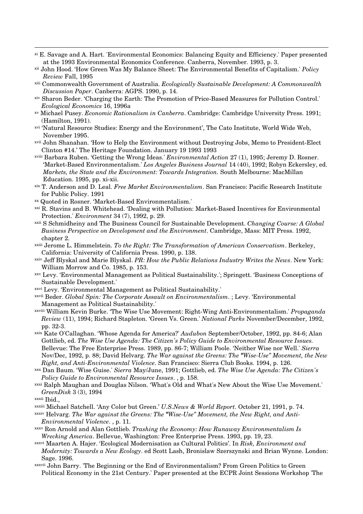- xi E. Savage and A. Hart. 'Environmental Economics: Balancing Equity and Efficiency.' Paper presented at the 1993 Environmental Economics Conference. Canberra, November. 1993, p. 3.
- xii John Hood. 'How Green Was My Balance Sheet: The Environmental Benefits of Capitalism.' *Policy Review* Fall, 1995
- xiii Commonwealth Government of Australia. *Ecologically Sustainable Development: A Commonwealth Discussion Paper*. Canberra: AGPS. 1990, p. 14.
- xiv Sharon Beder. 'Charging the Earth: The Promotion of Price-Based Measures for Pollution Control.' *Ecological Economics* 16, 1996a
- xv Michael Pusey. *Economic Rationalism in Canberra*. Cambridge: Cambridge University Press. 1991; (Hamilton, 1991).
- xvi 'Natural Resource Studies: Energy and the Environment', The Cato Institute, World Wide Web, November 1995.
- xvii John Shanahan. 'How to Help the Environment without Destroying Jobs, Memo to President-Elect Clinton #14.' The Heritage Foundation. January 19 1993 1993
- xviii Barbara Ruben. 'Getting the Wrong Ideas.' *Environmental Action* 27 (1), 1995; Jeremy D. Rosner. 'Market-Based Environmentalism.' *Los Angeles Business Journal* 14 (40), 1992; Robyn Eckersley, ed. *Markets, the State and the Environment: Towards Integration.* South Melbourne: MacMillan Education. 1995, pp. xi-xii.
- xix T. Anderson and D. Leal. *Free Market Environmentalism*. San Francisco: Pacific Research Institute for Public Policy. 1991
- xx Quoted in Rosner. 'Market-Based Environmentalism.'
- xxi R. Stavins and B. Whitehead. 'Dealing with Pollution: Market-Based Incentives for Environmental Protection.' *Environment* 34 (7), 1992, p. 29.
- xxii S Schmidheiny and The Business Council for Sustainable Development. *Changing Course: A Global Business Perspective on Development and the Environment*. Cambridge, Mass: MIT Press. 1992, chapter 2.
- xxiii Jerome L. Himmelstein. *To the Right: The Transformation of American Conservatism*. Berkeley, California: University of California Press. 1990, p. 138.
- xxiv Jeff Blyskal and Marie Blyskal. *PR: How the Public Relations Industry Writes the News*. New York: William Morrow and Co. 1985, p. 153.
- xxv Levy. 'Environmental Management as Political Sustainability.'; Springett. 'Business Conceptions of Sustainable Development.'
- xxvi Levy. 'Environmental Management as Political Sustainability.'
- xxvii Beder. *Global Spin: The Corporate Assault on Environmentalism*. ; Levy. 'Environmental Management as Political Sustainability.'
- xxviii William Kevin Burke. 'The Wise Use Movement: Right-Wing Anti-Environmentalism.' *Propaganda Review* (11), 1994; Richard Stapleton. 'Green Vs. Green.' *National Parks* November/December, 1992, pp. 32-3.
- xxix Kate O'Callaghan. 'Whose Agenda for America?' *Audubon* September/October, 1992, pp. 84-6; Alan Gottlieb, ed. *The Wise Use Agenda: The Citizen's Policy Guide to Environmental Resource Issues.* Bellevue: The Free Enterprise Press. 1989, pp. 86-7; William Poole. 'Neither Wise nor Well.' *Sierra* Nov/Dec, 1992, p. 88; David Helvarg. *The War against the Greens: The "Wise-Use" Movement, the New Right, and Anti-Environmental Violence*. San Francisco: Sierra Club Books. 1994, p. 126.
- xxx Dan Baum. 'Wise Guise.' *Sierra* May/June, 1991; Gottlieb, ed. *The Wise Use Agenda: The Citizen's Policy Guide to Environmental Resource Issues*. , p. 158.
- xxxi Ralph Maughan and Douglas Nilson. 'What's Old and What's New About the Wise Use Movement.' *GreenDisk* 3 (3), 1994
- xxxii Ibid.,
- xxxiii Michael Satchell. 'Any Color but Green.' *U.S.News & World Report*. October 21, 1991, p. 74.
- xxxiv Helvarg. *The War against the Greens: The "Wise-Use" Movement, the New Right, and Anti-Environmental Violence*. , p. 11.
- xxxv Ron Arnold and Alan Gottlieb. *Trashing the Economy: How Runaway Environmentalism Is Wrecking America*. Bellevue, Washington: Free Enterprise Press. 1993, pp. 19, 23.
- xxxvi Maarten A. Hajer. 'Ecological Modernisation as Cultural Politics'. In *Risk, Environment and Modernity: Towards a New Ecology*. ed Scott Lash, Bronislaw Szerszynski and Brian Wynne. London: Sage. 1996.
- xxxvii John Barry. 'The Beginning or the End of Environmentalism? From Green Politics to Green Political Economy in the 21st Century.' Paper presented at the ECPR Joint Sessions Workshop 'The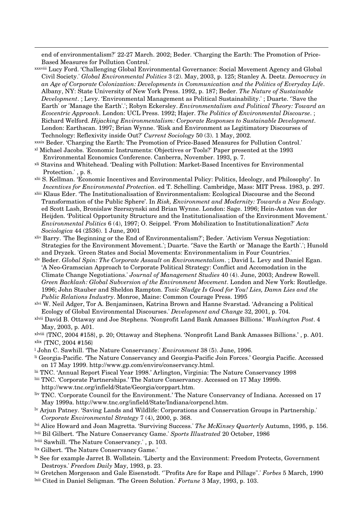end of environmentalism?' 22-27 March. 2002; Beder. 'Charging the Earth: The Promotion of Price-Based Measures for Pollution Control.'

xxxviii Lucy Ford. 'Challenging Global Environmental Governance: Social Movement Agency and Global Civil Society.' *Global Environmental Politics* 3 (2). May, 2003, p. 125; Stanley A. Deetz. *Democracy in an Age of Corporate Colonization: Developments in Communication and the Politics of Everyday Life*. Albany, NY: State University of New York Press. 1992, p. 187; Beder. *The Nature of Sustainable Development*. ; Levy. 'Environmental Management as Political Sustainability.' ; Duarte. ''Save the Earth' or 'Manage the Earth'.'; Robyn Eckersley. *Environmentalism and Political Theory: Toward an Ecocentric Approach*. London: UCL Press. 1992; Hajer. *The Politics of Environmental Discourse*. ; Richard Welford. *Hijacking Environmentalism: Corporate Responses to Sustainable Development*. London: Earthscan. 1997; Brian Wynne. 'Risk and Environment as Legitimatory Discourses of Technology: Reflexivity inside Out?' *Current Sociology* 50 (3). 1 May, 2002.

xxxix Beder. 'Charging the Earth: The Promotion of Price-Based Measures for Pollution Control.'

- xl Michael Jacobs. 'Economic Instruments: Objectives or Tools?' Paper presented at the 1993 Environmental Economics Conference. Canberra, November. 1993, p. 7.
- xli Stavins and Whitehead. 'Dealing with Pollution: Market-Based Incentives for Environmental Protection.' , p. 8.
- xlii S. Kellman. 'Economic Incentives and Environmental Policy: Politics, Ideology, and Philosophy'. In *Incentives for Environmental Protection*. ed T. Schelling. Cambridge, Mass: MIT Press. 1983, p. 297.
- xliii Klaus Eder. 'The Institutionalisation of Environmentalism: Ecological Discourse and the Second Transformation of the Public Sphere'. In *Risk, Environment and Modernity: Towards a New Ecology*. ed Scott Lash, Bronislaw Szerszynski and Brian Wynne. London: Sage. 1996; Hein-Anton van der Heijden. 'Political Opportunity Structure and the Institutionalisation of the Environment Movement.' *Environmental Politics* 6 (4), 1997; O. Seippel. 'From Mobilization to Institutionalization?' *Acta Sociologica* 44 (2536). 1 June, 2001
- xliv Barry. 'The Beginning or the End of Environmentalism?'; Beder. 'Activism Versus Negotiation: Strategies for the Environment Movement.'; Duarte. ''Save the Earth' or 'Manage the Earth'.'; Hunold and Dryzek. 'Green States and Social Movements: Environmentalism in Four Countries.'
- xlv Beder. *Global Spin: The Corporate Assault on Environmentalism*. ; David L. Levy and Daniel Egan. 'A Neo-Gramscian Approach to Corporate Political Strategy: Conflict and Accomodation in the Climate Change Negotiations.' *Journal of Management Studies* 40 (4). June, 2003; Andrew Rowell. *Green Backlash: Global Subversion of the Environment Movement*. London and New York: Routledge. 1996; John Stauber and Sheldon Rampton. *Toxic Sludge Is Good for You! Lies, Damn Lies and the Public Relations Industry*. Monroe, Maine: Common Courage Press. 1995
- xlvi W. Neil Adger, Tor A. Benjaminsen, Katrina Brown and Hanne Svarstad. 'Advancing a Political Ecology of Global Environmental Discourses.' *Development and Change* 32, 2001, p. 704.
- xlvii David B. Ottaway and Joe Stephens. 'Nonprofit Land Bank Amasses Billions.' *Washington Post*. 4 May, 2003, p. A01.
- xlviii {TNC, 2004 #158}, p. 20; Ottaway and Stephens. 'Nonprofit Land Bank Amasses Billions.' , p. A01. xlix {TNC, 2004 #156}
- <sup>l</sup> John C. Sawhill. 'The Nature Conservancy.' *Environment* 38 (5). June, 1996.
- li Georgia-Pacific. 'The Nature Conservancy and Georgia-Pacific Join Forces.' Georgia Pacific. Accessed on 17 May 1999. http://www.gp.com/enviro/conservancy.html.
- lii TNC. 'Annual Report Fiscal Year 1998.' Arlington, Virginia: The Nature Conservancy 1998
- liii TNC. 'Corporate Partnerships.' The Nature Conservancy. Accessed on 17 May 1999b.
- http://www.tnc.org/infield/State/Georgia/corppart.htm.
- liv TNC. 'Corporate Council for the Environment.' The Nature Conservancy of Indiana. Accessed on 17 May 1999a. http://www.tnc.org/infield/State/Indiana/corpcncl.htm.
- lv Arjun Patney. 'Saving Lands and Wildlife: Corporations and Conservation Groups in Partnership.' *Corporate Environmental Strategy* 7 (4), 2000, p. 368.
- lvi Alice Howard and Joan Magretta. 'Surviving Success.' *The McKinsey Quarterly* Autumn, 1995, p. 156. lvii Bil Gilbert. 'The Nature Conservancy Game.' *Sports Illustrated* 20 October, 1986
- lviii Sawhill. 'The Nature Conservancy.' , p. 103.
- lix Gilbert. 'The Nature Conservancy Game.'
- lx See for example Jarret B. Wollstein. 'Liberty and the Environment: Freedom Protects, Government Destroys.' *Freedom Daily* May, 1993, p. 23.
- lxi Gretchen Morgenson and Gale Eisenstodt. '"Profits Are for Rape and Pillage".' *Forbes* 5 March, 1990
- lxii Cited in Daniel Seligman. 'The Green Solution.' *Fortune* 3 May, 1993, p. 103.